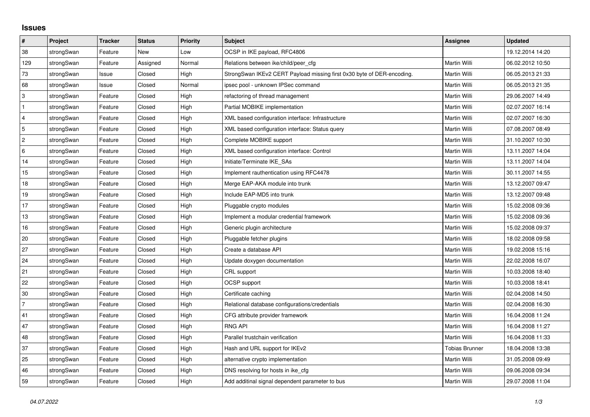## **Issues**

| #              | Project    | <b>Tracker</b> | <b>Status</b> | <b>Priority</b> | <b>Subject</b>                                                         | <b>Assignee</b>       | <b>Updated</b>   |
|----------------|------------|----------------|---------------|-----------------|------------------------------------------------------------------------|-----------------------|------------------|
| 38             | strongSwan | Feature        | New           | Low             | OCSP in IKE payload, RFC4806                                           |                       | 19.12.2014 14:20 |
| 129            | strongSwan | Feature        | Assigned      | Normal          | Relations between ike/child/peer cfg                                   | Martin Willi          | 06.02.2012 10:50 |
| 73             | strongSwan | Issue          | Closed        | High            | StrongSwan IKEv2 CERT Payload missing first 0x30 byte of DER-encoding. | Martin Willi          | 06.05.2013 21:33 |
| 68             | strongSwan | Issue          | Closed        | Normal          | ipsec pool - unknown IPSec command                                     | Martin Willi          | 06.05.2013 21:35 |
| $\sqrt{3}$     | strongSwan | Feature        | Closed        | High            | refactoring of thread management                                       | Martin Willi          | 29.06.2007 14:49 |
| $\mathbf{1}$   | strongSwan | Feature        | Closed        | High            | Partial MOBIKE implementation                                          | Martin Willi          | 02.07.2007 16:14 |
| $\overline{4}$ | strongSwan | Feature        | Closed        | High            | XML based configuration interface: Infrastructure                      | Martin Willi          | 02.07.2007 16:30 |
| 5              | strongSwan | Feature        | Closed        | High            | XML based configuration interface: Status query                        | Martin Willi          | 07.08.2007 08:49 |
| $\overline{2}$ | strongSwan | Feature        | Closed        | High            | Complete MOBIKE support                                                | Martin Willi          | 31.10.2007 10:30 |
| 6              | strongSwan | Feature        | Closed        | High            | XML based configuration interface: Control                             | Martin Willi          | 13.11.2007 14:04 |
| 14             | strongSwan | Feature        | Closed        | High            | Initiate/Terminate IKE_SAs                                             | Martin Willi          | 13.11.2007 14:04 |
| 15             | strongSwan | Feature        | Closed        | High            | Implement rauthentication using RFC4478                                | Martin Willi          | 30.11.2007 14:55 |
| 18             | strongSwan | Feature        | Closed        | High            | Merge EAP-AKA module into trunk                                        | Martin Willi          | 13.12.2007 09:47 |
| 19             | strongSwan | Feature        | Closed        | High            | Include EAP-MD5 into trunk                                             | Martin Willi          | 13.12.2007 09:48 |
| 17             | strongSwan | Feature        | Closed        | High            | Pluggable crypto modules                                               | Martin Willi          | 15.02.2008 09:36 |
| $13$           | strongSwan | Feature        | Closed        | High            | Implement a modular credential framework                               | Martin Willi          | 15.02.2008 09:36 |
| 16             | strongSwan | Feature        | Closed        | High            | Generic plugin architecture                                            | Martin Willi          | 15.02.2008 09:37 |
| 20             | strongSwan | Feature        | Closed        | High            | Pluggable fetcher plugins                                              | Martin Willi          | 18.02.2008 09:58 |
| 27             | strongSwan | Feature        | Closed        | High            | Create a database API                                                  | Martin Willi          | 19.02.2008 15:16 |
| 24             | strongSwan | Feature        | Closed        | High            | Update doxygen documentation                                           | Martin Willi          | 22.02.2008 16:07 |
| 21             | strongSwan | Feature        | Closed        | High            | CRL support                                                            | Martin Willi          | 10.03.2008 18:40 |
| 22             | strongSwan | Feature        | Closed        | High            | OCSP support                                                           | Martin Willi          | 10.03.2008 18:41 |
| 30             | strongSwan | Feature        | Closed        | High            | Certificate caching                                                    | Martin Willi          | 02.04.2008 14:50 |
| $\overline{7}$ | strongSwan | Feature        | Closed        | High            | Relational database configurations/credentials                         | Martin Willi          | 02.04.2008 16:30 |
| 41             | strongSwan | Feature        | Closed        | High            | CFG attribute provider framework                                       | Martin Willi          | 16.04.2008 11:24 |
| 47             | strongSwan | Feature        | Closed        | High            | <b>RNG API</b>                                                         | Martin Willi          | 16.04.2008 11:27 |
| 48             | strongSwan | Feature        | Closed        | High            | Parallel trustchain verification                                       | Martin Willi          | 16.04.2008 11:33 |
| 37             | strongSwan | Feature        | Closed        | High            | Hash and URL support for IKEv2                                         | <b>Tobias Brunner</b> | 18.04.2008 13:38 |
| 25             | strongSwan | Feature        | Closed        | High            | alternative crypto implementation                                      | Martin Willi          | 31.05.2008 09:49 |
| 46             | strongSwan | Feature        | Closed        | High            | DNS resolving for hosts in ike cfg                                     | Martin Willi          | 09.06.2008 09:34 |
| 59             | strongSwan | Feature        | Closed        | High            | Add additinal signal dependent parameter to bus                        | Martin Willi          | 29.07.2008 11:04 |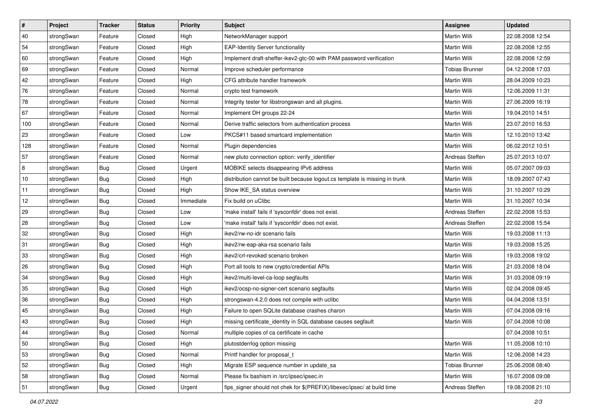| $\vert$ # | Project    | <b>Tracker</b> | <b>Status</b> | <b>Priority</b> | <b>Subject</b>                                                              | <b>Assignee</b>       | <b>Updated</b>   |
|-----------|------------|----------------|---------------|-----------------|-----------------------------------------------------------------------------|-----------------------|------------------|
| 40        | strongSwan | Feature        | Closed        | High            | NetworkManager support                                                      | Martin Willi          | 22.08.2008 12:54 |
| 54        | strongSwan | Feature        | Closed        | High            | <b>EAP-Identity Server functionality</b>                                    | Martin Willi          | 22.08.2008 12:55 |
| 60        | strongSwan | Feature        | Closed        | High            | Implement draft-sheffer-ikev2-gtc-00 with PAM password verification         | Martin Willi          | 22.08.2008 12:59 |
| 69        | strongSwan | Feature        | Closed        | Normal          | Improve scheduler performance                                               | <b>Tobias Brunner</b> | 04.12.2008 17:03 |
| 42        | strongSwan | Feature        | Closed        | High            | CFG attribute handler framework                                             | Martin Willi          | 28.04.2009 10:23 |
| 76        | strongSwan | Feature        | Closed        | Normal          | crypto test framework                                                       | Martin Willi          | 12.06.2009 11:31 |
| 78        | strongSwan | Feature        | Closed        | Normal          | Integrity tester for libstrongswan and all plugins.                         | Martin Willi          | 27.06.2009 16:19 |
| 67        | strongSwan | Feature        | Closed        | Normal          | Implement DH groups 22-24                                                   | Martin Willi          | 19.04.2010 14:51 |
| 100       | strongSwan | Feature        | Closed        | Normal          | Derive traffic selectors from authentication process                        | Martin Willi          | 23.07.2010 16:53 |
| 23        | strongSwan | Feature        | Closed        | Low             | PKCS#11 based smartcard implementation                                      | Martin Willi          | 12.10.2010 13:42 |
| 128       | strongSwan | Feature        | Closed        | Normal          | Plugin dependencies                                                         | Martin Willi          | 06.02.2012 10:51 |
| 57        | strongSwan | Feature        | Closed        | Normal          | new pluto connection option: verify_identifier                              | Andreas Steffen       | 25.07.2013 10:07 |
| 8         | strongSwan | Bug            | Closed        | Urgent          | MOBIKE selects disappearing IPv6 address                                    | Martin Willi          | 05.07.2007 09:03 |
| 10        | strongSwan | Bug            | Closed        | High            | distribution cannot be built because logout.cs template is missing in trunk | Martin Willi          | 18.09.2007 07:43 |
| 11        | strongSwan | Bug            | Closed        | High            | Show IKE_SA status overview                                                 | Martin Willi          | 31.10.2007 10:29 |
| 12        | strongSwan | <b>Bug</b>     | Closed        | Immediate       | Fix build on uClibc                                                         | Martin Willi          | 31.10.2007 10:34 |
| 29        | strongSwan | <b>Bug</b>     | Closed        | Low             | 'make install' fails if 'sysconfdir' does not exist.                        | Andreas Steffen       | 22.02.2008 15:53 |
| 28        | strongSwan | Bug            | Closed        | Low             | 'make install' fails if 'sysconfdir' does not exist.                        | Andreas Steffen       | 22.02.2008 15:54 |
| 32        | strongSwan | Bug            | Closed        | High            | ikev2/rw-no-idr scenario fails                                              | Martin Willi          | 19.03.2008 11:13 |
| 31        | strongSwan | Bug            | Closed        | High            | ikev2/rw-eap-aka-rsa scenario fails                                         | Martin Willi          | 19.03.2008 15:25 |
| 33        | strongSwan | <b>Bug</b>     | Closed        | High            | ikev2/crl-revoked scenario broken                                           | Martin Willi          | 19.03.2008 19:02 |
| 26        | strongSwan | <b>Bug</b>     | Closed        | High            | Port all tools to new crypto/credential APIs                                | Martin Willi          | 21.03.2008 18:04 |
| 34        | strongSwan | Bug            | Closed        | High            | ikev2/multi-level-ca-loop segfaults                                         | Martin Willi          | 31.03.2008 09:19 |
| 35        | strongSwan | Bug            | Closed        | High            | ikev2/ocsp-no-signer-cert scenario segfaults                                | Martin Willi          | 02.04.2008 09:45 |
| 36        | strongSwan | <b>Bug</b>     | Closed        | High            | strongswan-4.2.0 does not compile with uclibc                               | Martin Willi          | 04.04.2008 13:51 |
| 45        | strongSwan | Bug            | Closed        | High            | Failure to open SQLite database crashes charon                              | Martin Willi          | 07.04.2008 09:16 |
| 43        | strongSwan | Bug            | Closed        | High            | missing certificate_identity in SQL database causes segfault                | Martin Willi          | 07.04.2008 10:08 |
| 44        | strongSwan | Bug            | Closed        | Normal          | multiple copies of ca certificate in cache                                  |                       | 07.04.2008 10:51 |
| 50        | strongSwan | Bug            | Closed        | High            | plutostderrlog option missing                                               | Martin Willi          | 11.05.2008 10:10 |
| 53        | strongSwan | Bug            | Closed        | Normal          | Printf handler for proposal_t                                               | Martin Willi          | 12.06.2008 14:23 |
| 52        | strongSwan | Bug            | Closed        | High            | Migrate ESP sequence number in update sa                                    | <b>Tobias Brunner</b> | 25.06.2008 08:40 |
| 58        | strongSwan | Bug            | Closed        | Normal          | Please fix bashism in /src/ipsec/ipsec.in                                   | Martin Willi          | 16.07.2008 09:08 |
| 51        | strongSwan | <b>Bug</b>     | Closed        | Urgent          | fips_signer should not chek for \$(PREFIX)/libexec/ipsec/ at build time     | Andreas Steffen       | 19.08.2008 21:10 |